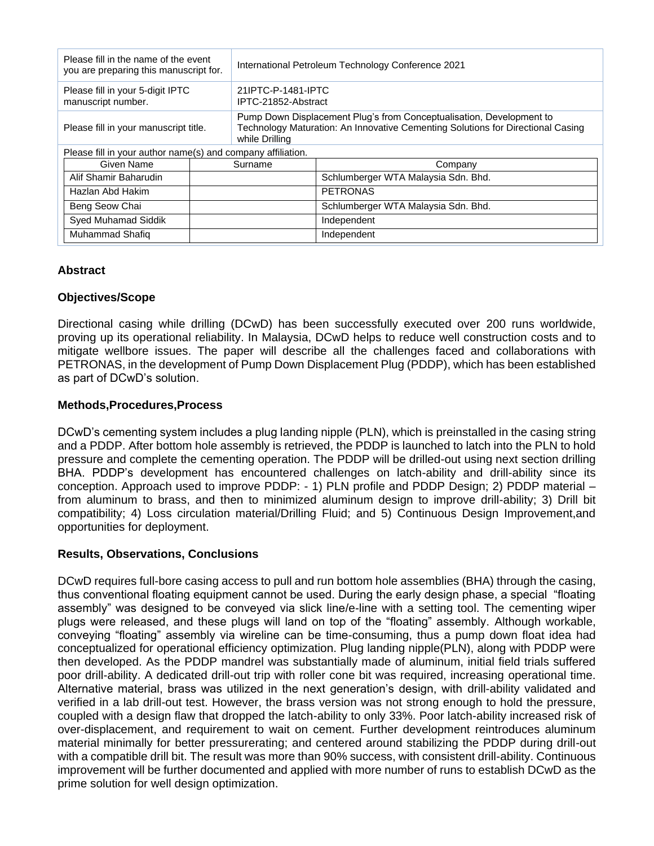| Please fill in the name of the event<br>you are preparing this manuscript for. |         | International Petroleum Technology Conference 2021                                                                                                                        |                                     |
|--------------------------------------------------------------------------------|---------|---------------------------------------------------------------------------------------------------------------------------------------------------------------------------|-------------------------------------|
| Please fill in your 5-digit IPTC<br>manuscript number.                         |         | 21IPTC-P-1481-IPTC<br>IPTC-21852-Abstract                                                                                                                                 |                                     |
| Please fill in your manuscript title.                                          |         | Pump Down Displacement Plug's from Conceptualisation, Development to<br>Technology Maturation: An Innovative Cementing Solutions for Directional Casing<br>while Drilling |                                     |
| Please fill in your author name(s) and company affiliation.                    |         |                                                                                                                                                                           |                                     |
| Given Name                                                                     | Surname |                                                                                                                                                                           | Company                             |
| Alif Shamir Baharudin                                                          |         |                                                                                                                                                                           | Schlumberger WTA Malaysia Sdn. Bhd. |
| Hazlan Abd Hakim                                                               |         |                                                                                                                                                                           | <b>PETRONAS</b>                     |
| Beng Seow Chai                                                                 |         |                                                                                                                                                                           | Schlumberger WTA Malaysia Sdn. Bhd. |
| Syed Muhamad Siddik                                                            |         |                                                                                                                                                                           | Independent                         |
| Muhammad Shafiq                                                                |         |                                                                                                                                                                           | Independent                         |

## **Abstract**

# **Objectives/Scope**

Directional casing while drilling (DCwD) has been successfully executed over 200 runs worldwide, proving up its operational reliability. In Malaysia, DCwD helps to reduce well construction costs and to mitigate wellbore issues. The paper will describe all the challenges faced and collaborations with PETRONAS, in the development of Pump Down Displacement Plug (PDDP), which has been established as part of DCwD's solution.

# **Methods,Procedures,Process**

DCwD's cementing system includes a plug landing nipple (PLN), which is preinstalled in the casing string and a PDDP. After bottom hole assembly is retrieved, the PDDP is launched to latch into the PLN to hold pressure and complete the cementing operation. The PDDP will be drilled-out using next section drilling BHA. PDDP's development has encountered challenges on latch-ability and drill-ability since its conception. Approach used to improve PDDP: - 1) PLN profile and PDDP Design; 2) PDDP material – from aluminum to brass, and then to minimized aluminum design to improve drill-ability; 3) Drill bit compatibility; 4) Loss circulation material/Drilling Fluid; and 5) Continuous Design Improvement,and opportunities for deployment.

## **Results, Observations, Conclusions**

DCwD requires full-bore casing access to pull and run bottom hole assemblies (BHA) through the casing, thus conventional floating equipment cannot be used. During the early design phase, a special "floating assembly" was designed to be conveyed via slick line/e-line with a setting tool. The cementing wiper plugs were released, and these plugs will land on top of the "floating" assembly. Although workable, conveying "floating" assembly via wireline can be time-consuming, thus a pump down float idea had conceptualized for operational efficiency optimization. Plug landing nipple(PLN), along with PDDP were then developed. As the PDDP mandrel was substantially made of aluminum, initial field trials suffered poor drill-ability. A dedicated drill-out trip with roller cone bit was required, increasing operational time. Alternative material, brass was utilized in the next generation's design, with drill-ability validated and verified in a lab drill-out test. However, the brass version was not strong enough to hold the pressure, coupled with a design flaw that dropped the latch-ability to only 33%. Poor latch-ability increased risk of over-displacement, and requirement to wait on cement. Further development reintroduces aluminum material minimally for better pressurerating; and centered around stabilizing the PDDP during drill-out with a compatible drill bit. The result was more than 90% success, with consistent drill-ability. Continuous improvement will be further documented and applied with more number of runs to establish DCwD as the prime solution for well design optimization.